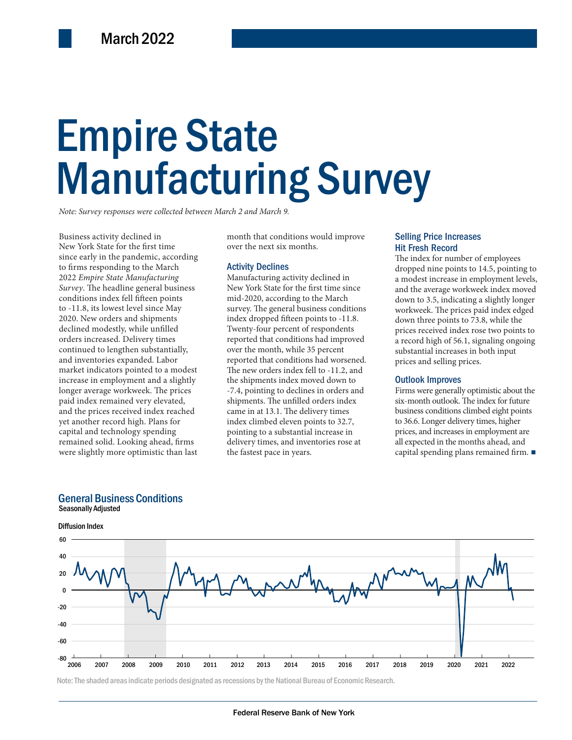# Empire State Empire State Manufacturing Survey Manufacturing Survey

*Note: Survey responses were collected between March 2 and March 9.*

Business activity declined in New York State for the first time since early in the pandemic, according to firms responding to the March 2022 *Empire State Manufacturing Survey*. The headline general business conditions index fell fifteen points to -11.8, its lowest level since May 2020. New orders and shipments declined modestly, while unfilled orders increased. Delivery times continued to lengthen substantially, and inventories expanded. Labor market indicators pointed to a modest increase in employment and a slightly longer average workweek. The prices paid index remained very elevated, and the prices received index reached yet another record high. Plans for capital and technology spending remained solid. Looking ahead, firms were slightly more optimistic than last

month that conditions would improve over the next six months.

### Activity Declines

expanded. Labor and that conditions had worsened.<br>
In the new orders index fell to -11.2, and<br>
in the shipments index moved down to<br>
Firms were general event workweek. The prices and selling<br>  $\frac{10}{27.4}$ , pointing to dec Manufacturing activity declined in New York State for the first time since mid-2020, according to the March survey. The general business conditions index dropped fifteen points to -11.8. Twenty-four percent of respondents reported that conditions had improved over the month, while 35 percent reported that conditions had worsened. The new orders index fell to -11.2, and the shipments index moved down to -7.4, pointing to declines in orders and shipments. The unfilled orders index came in at 13.1. The delivery times index climbed eleven points to 32.7, pointing to a substantial increase in delivery times, and inventories rose at the fastest pace in years.

### Selling Price Increases Hit Fresh Record

The index for number of employees dropped nine points to 14.5, pointing to a modest increase in employment levels, and the average workweek index moved down to 3.5, indicating a slightly longer workweek. The prices paid index edged down three points to 73.8, while the prices received index rose two points to a record high of 56.1, signaling ongoing substantial increases in both input prices and selling prices.

### Outlook Improves

Firms were generally optimistic about the six-month outlook. The index for future business conditions climbed eight points to 36.6. Longer delivery times, higher prices, and increases in employment are all expected in the months ahead, and capital spending plans remained firm. ■

### General Business Conditions







Note: The shaded areas indicate periods designated as recessions by the National Bureau of Economic Research.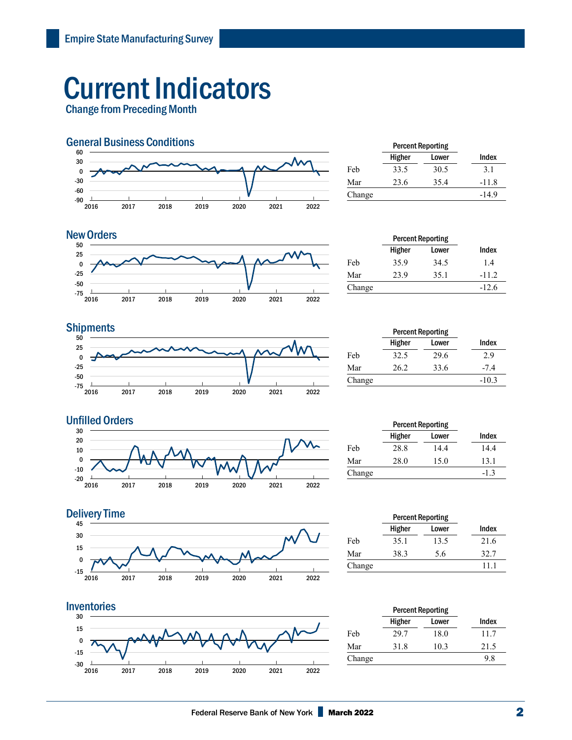# Current Indicators

Change from Preceding Month



|        | <b>Percent Reporting</b> |       |         |
|--------|--------------------------|-------|---------|
|        | Higher                   | Lower | Index   |
| Feb    | 33.5                     | 30.5  | 3.1     |
| Mar    | 23.6                     | 35.4  | $-11.8$ |
| Change |                          |       | $-14.9$ |

### **New Orders**



|        | <b>Percent Reporting</b> |       |         |
|--------|--------------------------|-------|---------|
|        | Higher                   | Lower | Index   |
| Feb    | 35.9                     | 34.5  | 1.4     |
| Mar    | 23.9                     | 35.1  | $-11.2$ |
| Change |                          |       | $-12.6$ |

## **Shipments**



|        | <b>Percent Reporting</b> |       |         |  |
|--------|--------------------------|-------|---------|--|
|        | Higher                   | Lower | Index   |  |
| Feb    | 32.5                     | 29.6  | 2.9     |  |
| Mar    | 26.2                     | 33.6  | $-7.4$  |  |
| Change |                          |       | $-10.3$ |  |





### $-15\frac{L}{2016}$ | 2017 | 2018 | 2019 | 2020 | 2021 | 15 <u>(associated by the set of the set of the set of the set of the set of the set of the set of the set of the set of the set of the set of the set of the set of the set of the set of the set of the set of the set of the s</u>  $\pmb{0}$  15 30 45 **Delivery Time**



|        | <b>Percent Reporting</b> |       |       |
|--------|--------------------------|-------|-------|
|        | Higher                   | Lower | Index |
| Feb    | 35.1                     | 13.5  | 21.6  |
| Mar    | 38.3                     | 5.6   | 32.7  |
| Change |                          |       | 11 1  |
|        |                          |       |       |

|        | <b>Percent Reporting</b> |       |       |
|--------|--------------------------|-------|-------|
|        | Higher                   | Lower | Index |
| Feb    | 29.7                     | 18.0  | 11.7  |
| Mar    | 31.8                     | 10.3  | 21.5  |
| Change |                          |       | 9.8   |

2022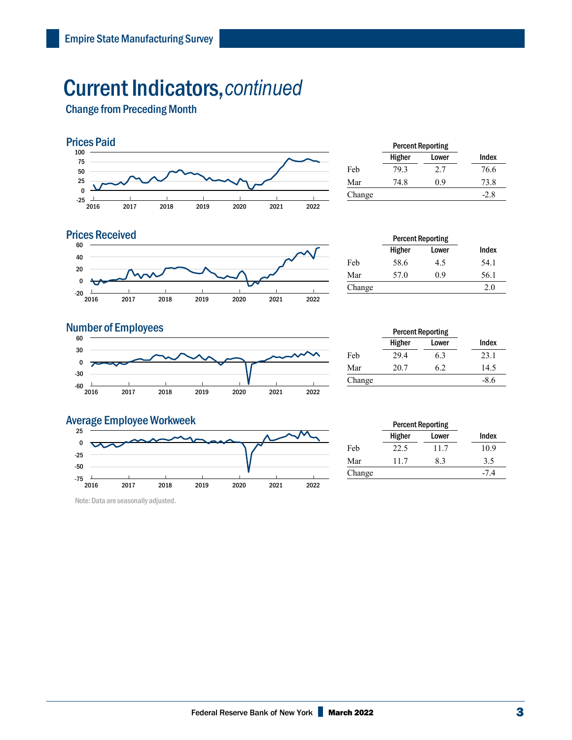## Current Indicators,*continued*

Change from Preceding Month



| Index  |
|--------|
| 76.6   |
| 73.8   |
| $-2.8$ |
|        |



|        | <b>Percent Reporting</b> |       |       |
|--------|--------------------------|-------|-------|
|        | Higher                   | Lower | Index |
| Feb    | 58.6                     | 4.5   | 54.1  |
| Mar    | 57.0                     | 0.9   | 56.1  |
| Change |                          |       | 2.0   |
|        |                          |       |       |

### **Number of Employees**



|        | <b>Percent Reporting</b> |       |        |  |
|--------|--------------------------|-------|--------|--|
|        | Higher                   | Lower | Index  |  |
| Feb    | 29.4                     | 6.3   | 23.1   |  |
| Mar    | 20.7                     | 6.2   | 14.5   |  |
| Change |                          |       | $-8.6$ |  |

### Average Employee Workweek



Note: Data are seasonally adjusted.

|        | <b>Percent Reporting</b> |       |        |
|--------|--------------------------|-------|--------|
|        | Higher                   | Lower | Index  |
| Feb    | 22.5                     | 11.7  | 10.9   |
| Mar    | 11.7                     | 8.3   | 3.5    |
| Change |                          |       | $-7.4$ |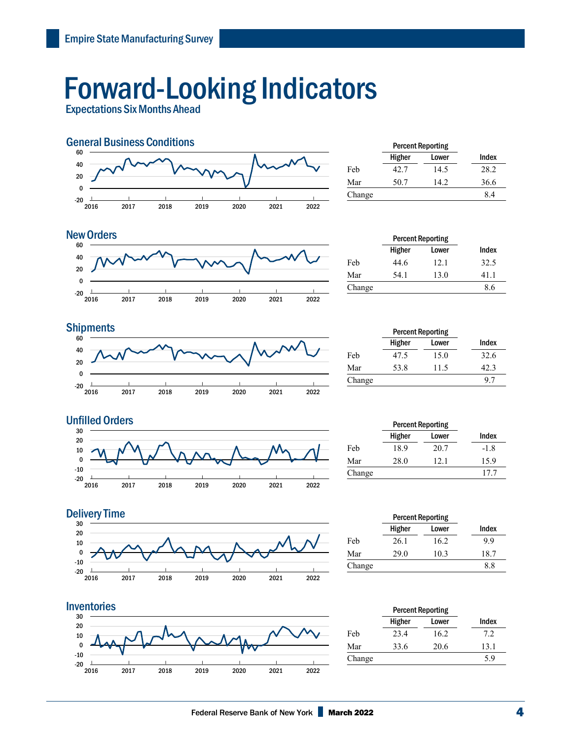# Forward-Looking Indicators

Expectations Six Months Ahead



|        | <b>Percent Reporting</b> |       |       |
|--------|--------------------------|-------|-------|
|        | Higher                   | Lower | Index |
| Feb    | 42.7                     | 14.5  | 28.2  |
| Mar    | 50.7                     | 14.2. | 36.6  |
| Change |                          |       | 8.4   |
|        |                          |       |       |

#### $-20$   $\frac{1}{2016}$ | 2017 | 2018 | 2019 | 2020 | 2021 | 2022 | -20 0 20 40 60 New Orders **Percent Reporting**

|        | <b>Percent Reporting</b> |       |       |
|--------|--------------------------|-------|-------|
|        | Higher                   | Lower | Index |
| Feb    | 44.6                     | 12.1  | 32.5  |
| Mar    | 54.1                     | 13.0  | 41.1  |
| Change |                          |       | 8.6   |



|        | <b>Percent Reporting</b> |       |       |
|--------|--------------------------|-------|-------|
|        | Higher                   | Lower | Index |
| Feb    | 47.5                     | 15.0  | 32.6  |
| Mar    | 53.8                     | 11.5  | 42.3  |
| Change |                          |       | -97   |

Higher Lower Index





|        | Higher | Lower | Index |  |
|--------|--------|-------|-------|--|
| Feb    | 26.1   | 16.2  | 9.9   |  |
| Mar    | 29.0   | 10.3  | 18.7  |  |
| Change |        |       | 8.8   |  |
|        |        |       |       |  |



|        | <b>Percent Reporting</b> |       |       |
|--------|--------------------------|-------|-------|
|        | Higher                   | Lower | Index |
| Feb    | 23.4                     | 16.2  | 7.2   |
| Mar    | 33.6                     | 20.6  | 13.1  |
| Change |                          |       | 5.9   |
|        |                          |       |       |